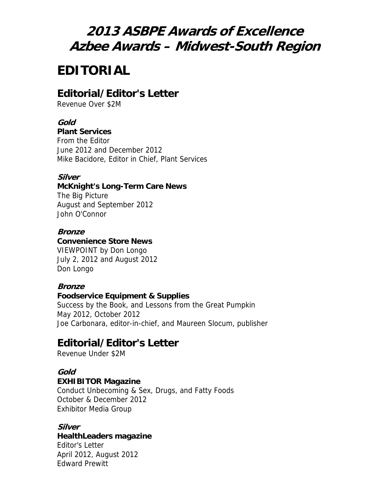# **2013 ASBPE Awards of Excellence Azbee Awards – Midwest-South Region**

# **EDITORIAL**

# **Editorial/Editor's Letter**

Revenue Over \$2M

### **Gold**

#### **Plant Services**

From the Editor June 2012 and December 2012 Mike Bacidore, Editor in Chief, Plant Services

### **Silver**

# **McKnight's Long-Term Care News**

The Big Picture August and September 2012 John O'Connor

#### **Bronze**

### **Convenience Store News**

VIEWPOINT by Don Longo July 2, 2012 and August 2012 Don Longo

### **Bronze**

#### **Foodservice Equipment & Supplies**

Success by the Book, and Lessons from the Great Pumpkin May 2012, October 2012 Joe Carbonara, editor-in-chief, and Maureen Slocum, publisher

# **Editorial/Editor's Letter**

Revenue Under \$2M

### **Gold**

#### **EXHIBITOR Magazine**

Conduct Unbecoming & Sex, Drugs, and Fatty Foods October & December 2012 Exhibitor Media Group

#### **Silver**

#### **HealthLeaders magazine**

Editor's Letter April 2012, August 2012 Edward Prewitt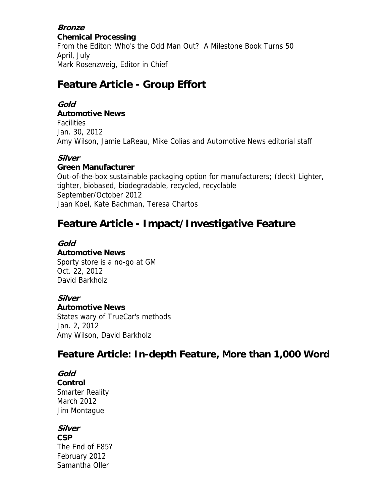#### **Bronze Chemical Processing** From the Editor: Who's the Odd Man Out? A Milestone Book Turns 50 April, July Mark Rosenzweig, Editor in Chief

# **Feature Article - Group Effort**

### **Gold**

### **Automotive News**

**Facilities** Jan. 30, 2012 Amy Wilson, Jamie LaReau, Mike Colias and Automotive News editorial staff

### **Silver**

#### **Green Manufacturer**

Out-of-the-box sustainable packaging option for manufacturers; (deck) Lighter, tighter, biobased, biodegradable, recycled, recyclable September/October 2012 Jaan Koel, Kate Bachman, Teresa Chartos

# **Feature Article - Impact/Investigative Feature**

#### **Gold**

### **Automotive News**

Sporty store is a no-go at GM Oct. 22, 2012 David Barkholz

### **Silver**

**Automotive News**

States wary of TrueCar's methods Jan. 2, 2012 Amy Wilson, David Barkholz

# **Feature Article: In-depth Feature, More than 1,000 Word**

### **Gold**

**Control** Smarter Reality March 2012 Jim Montague

### **Silver**

**CSP** The End of E85? February 2012 Samantha Oller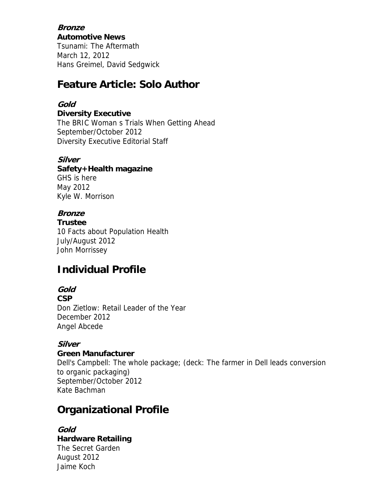**Bronze Automotive News** Tsunami: The Aftermath March 12, 2012 Hans Greimel, David Sedgwick

# **Feature Article: Solo Author**

### **Gold**

**Diversity Executive** The BRIC Woman s Trials When Getting Ahead September/October 2012 Diversity Executive Editorial Staff

### **Silver**

**Safety+Health magazine** GHS is here May 2012 Kyle W. Morrison

## **Bronze**

**Trustee** 10 Facts about Population Health July/August 2012 John Morrissey

# **Individual Profile**

## **Gold**

**CSP** Don Zietlow: Retail Leader of the Year December 2012 Angel Abcede

### **Silver**

### **Green Manufacturer**

Dell's Campbell: The whole package; (deck: The farmer in Dell leads conversion to organic packaging) September/October 2012 Kate Bachman

# **Organizational Profile**

**Gold Hardware Retailing** The Secret Garden August 2012 Jaime Koch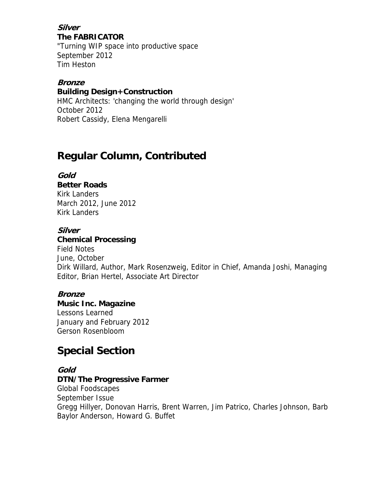**Silver The FABRICATOR** "Turning WIP space into productive space September 2012 Tim Heston

#### **Bronze Building Design+Construction**

HMC Architects: 'changing the world through design' October 2012 Robert Cassidy, Elena Mengarelli

# **Regular Column, Contributed**

### **Gold**

**Better Roads** Kirk Landers March 2012, June 2012 Kirk Landers

### **Silver**

### **Chemical Processing**

Field Notes June, October Dirk Willard, Author, Mark Rosenzweig, Editor in Chief, Amanda Joshi, Managing Editor, Brian Hertel, Associate Art Director

### **Bronze**

**Music Inc. Magazine** Lessons Learned January and February 2012 Gerson Rosenbloom

# **Special Section**

### **Gold**

## **DTN/The Progressive Farmer**

Global Foodscapes September Issue Gregg Hillyer, Donovan Harris, Brent Warren, Jim Patrico, Charles Johnson, Barb Baylor Anderson, Howard G. Buffet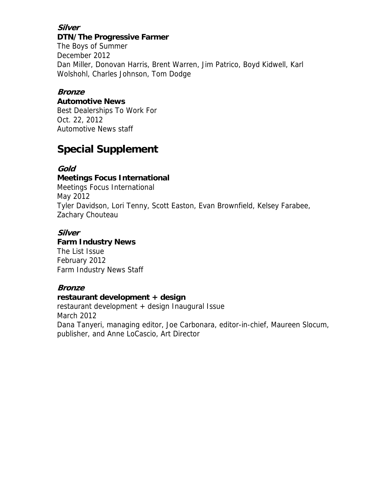### **Silver DTN/The Progressive Farmer**

The Boys of Summer December 2012 Dan Miller, Donovan Harris, Brent Warren, Jim Patrico, Boyd Kidwell, Karl Wolshohl, Charles Johnson, Tom Dodge

## **Bronze**

### **Automotive News**

Best Dealerships To Work For Oct. 22, 2012 Automotive News staff

# **Special Supplement**

## **Gold**

### **Meetings Focus International**

Meetings Focus International May 2012 Tyler Davidson, Lori Tenny, Scott Easton, Evan Brownfield, Kelsey Farabee, Zachary Chouteau

### **Silver**

### **Farm Industry News**

The List Issue February 2012 Farm Industry News Staff

### **Bronze**

### **restaurant development + design**

restaurant development + design Inaugural Issue March 2012 Dana Tanyeri, managing editor, Joe Carbonara, editor-in-chief, Maureen Slocum, publisher, and Anne LoCascio, Art Director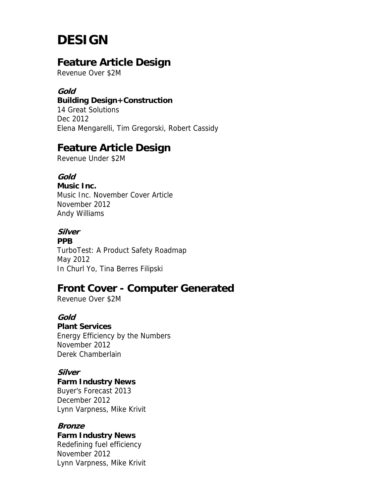# **DESIGN**

# **Feature Article Design**

Revenue Over \$2M

### **Gold**

### **Building Design+Construction**

14 Great Solutions Dec 2012 Elena Mengarelli, Tim Gregorski, Robert Cassidy

# **Feature Article Design**

Revenue Under \$2M

### **Gold**

**Music Inc.** Music Inc. November Cover Article November 2012 Andy Williams

# **Silver**

**PPB** TurboTest: A Product Safety Roadmap May 2012 In Churl Yo, Tina Berres Filipski

# **Front Cover - Computer Generated**

Revenue Over \$2M

### **Gold**

**Plant Services** Energy Efficiency by the Numbers

November 2012 Derek Chamberlain

### **Silver**

**Farm Industry News**

Buyer's Forecast 2013 December 2012 Lynn Varpness, Mike Krivit

### **Bronze**

**Farm Industry News** Redefining fuel efficiency November 2012 Lynn Varpness, Mike Krivit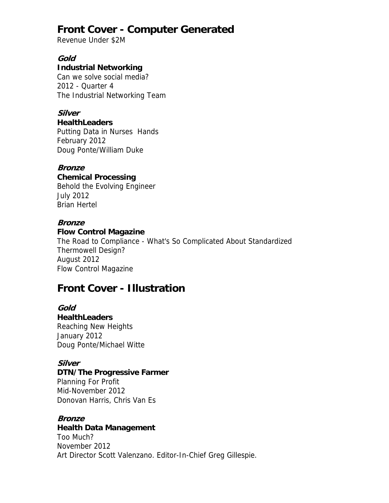# **Front Cover - Computer Generated**

Revenue Under \$2M

### **Gold**

### **Industrial Networking**

Can we solve social media? 2012 - Quarter 4 The Industrial Networking Team

### **Silver**

#### **HealthLeaders**

Putting Data in Nurses Hands February 2012 Doug Ponte/William Duke

### **Bronze**

**Chemical Processing** Behold the Evolving Engineer July 2012 Brian Hertel

### **Bronze**

### **Flow Control Magazine**

The Road to Compliance - What's So Complicated About Standardized Thermowell Design? August 2012 Flow Control Magazine

# **Front Cover - Illustration**

# **Gold**

**HealthLeaders** Reaching New Heights January 2012 Doug Ponte/Michael Witte

### **Silver**

#### **DTN/The Progressive Farmer** Planning For Profit Mid-November 2012

Donovan Harris, Chris Van Es

### **Bronze**

### **Health Data Management**

Too Much? November 2012 Art Director Scott Valenzano. Editor-In-Chief Greg Gillespie.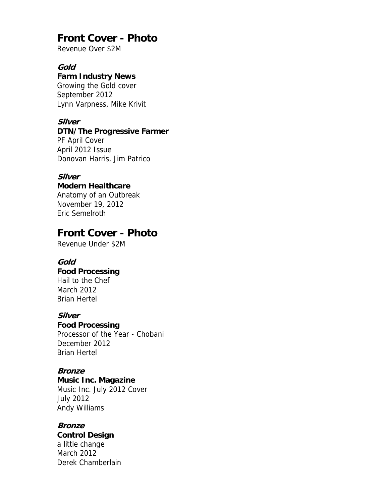# **Front Cover - Photo**

Revenue Over \$2M

#### **Gold**

### **Farm Industry News**

Growing the Gold cover September 2012 Lynn Varpness, Mike Krivit

### **Silver**

#### **DTN/The Progressive Farmer**

PF April Cover April 2012 Issue Donovan Harris, Jim Patrico

#### **Silver**

### **Modern Healthcare**

Anatomy of an Outbreak November 19, 2012 Eric Semelroth

## **Front Cover - Photo**

Revenue Under \$2M

#### **Gold**

#### **Food Processing** Hail to the Chef March 2012 Brian Hertel

#### **Silver**

#### **Food Processing**

Processor of the Year - Chobani December 2012 Brian Hertel

#### **Bronze**

#### **Music Inc. Magazine**

Music Inc. July 2012 Cover July 2012 Andy Williams

#### **Bronze**

### **Control Design**

a little change March 2012 Derek Chamberlain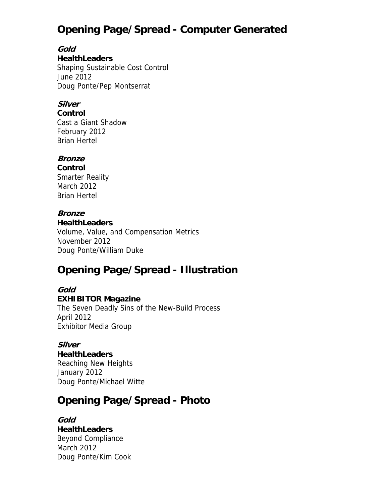# **Opening Page/Spread - Computer Generated**

**Gold HealthLeaders** Shaping Sustainable Cost Control June 2012 Doug Ponte/Pep Montserrat

### **Silver**

**Control** Cast a Giant Shadow February 2012 Brian Hertel

### **Bronze**

**Control** Smarter Reality

March 2012 Brian Hertel

### **Bronze**

**HealthLeaders** Volume, Value, and Compensation Metrics November 2012 Doug Ponte/William Duke

# **Opening Page/Spread - Illustration**

#### **Gold EXHIBITOR Magazine**

The Seven Deadly Sins of the New-Build Process April 2012 Exhibitor Media Group

### **Silver**

**HealthLeaders**

Reaching New Heights January 2012 Doug Ponte/Michael Witte

# **Opening Page/Spread - Photo**

### **Gold HealthLeaders** Beyond Compliance March 2012 Doug Ponte/Kim Cook